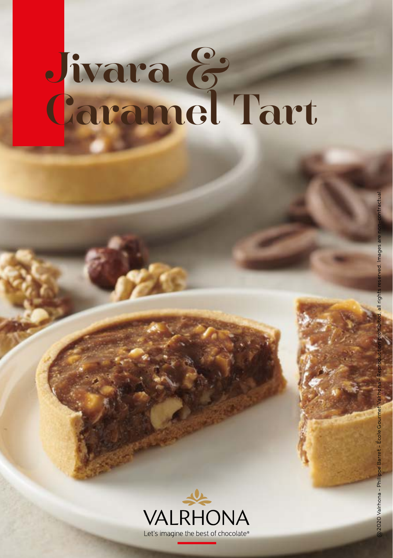# Jivara & Caramel Tart



2020 Valrhona - Phil